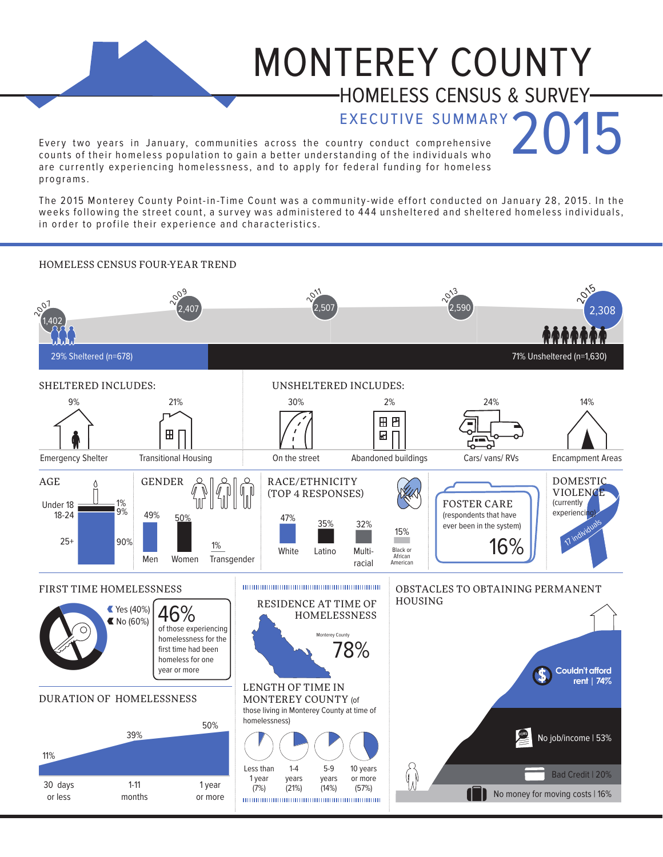## MONTEREY COUNTY HOMELESS CENSUS & SURVEY

EXECUTIVE SUMMARY<br>untry conduct comprehensive Every two years in January, communities across the country conduct comprehensive counts of their homeless population to gain a better understanding of the individuals who are currently experiencing homelessness, and to apply for federal funding for homeless p ro gr am s .

The 2015 Monterey County Point-in-Time Count was a community-wide effort conducted on January 28, 2015. In the weeks following the street count, a survey was administered to 444 unsheltered and sheltered homeless individuals. in order to profile their experience and characteristics.

## HOMELESS CENSUS FOUR-YEAR TREND